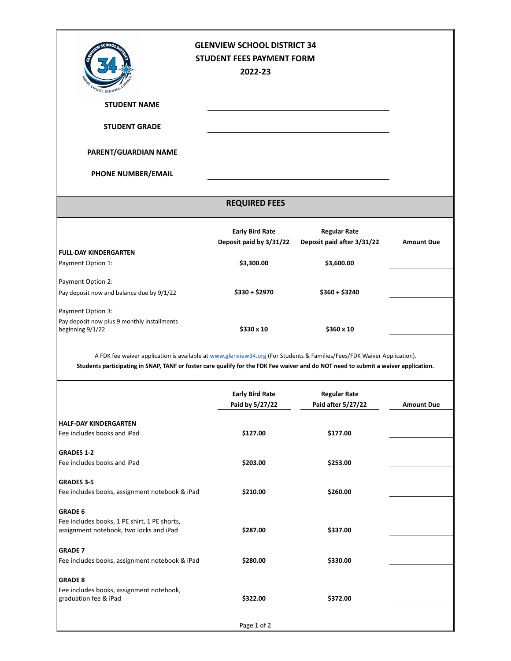| <b>TALORE, DISCOVE</b>                                                                                                             | <b>GLENVIEW SCHOOL DISTRICT 34</b><br><b>STUDENT FEES PAYMENT FORM</b><br>2022-23 |                                                   |                   |  |
|------------------------------------------------------------------------------------------------------------------------------------|-----------------------------------------------------------------------------------|---------------------------------------------------|-------------------|--|
| <b>STUDENT NAME</b>                                                                                                                |                                                                                   |                                                   |                   |  |
| <b>STUDENT GRADE</b>                                                                                                               |                                                                                   |                                                   |                   |  |
| PARENT/GUARDIAN NAME                                                                                                               |                                                                                   |                                                   |                   |  |
| PHONE NUMBER/EMAIL                                                                                                                 |                                                                                   |                                                   |                   |  |
| <b>REQUIRED FEES</b>                                                                                                               |                                                                                   |                                                   |                   |  |
|                                                                                                                                    | <b>Early Bird Rate</b><br>Deposit paid by 3/31/22                                 | <b>Regular Rate</b><br>Deposit paid after 3/31/22 | <b>Amount Due</b> |  |
| <b>FULL-DAY KINDERGARTEN</b>                                                                                                       |                                                                                   |                                                   |                   |  |
| Payment Option 1:                                                                                                                  | \$3,300.00                                                                        | \$3,600.00                                        |                   |  |
| Payment Option 2:                                                                                                                  |                                                                                   |                                                   |                   |  |
| Pay deposit now and balance due by 9/1/22                                                                                          | $$330 + $2970$                                                                    | $$360 + $3240$                                    |                   |  |
| Payment Option 3:<br>Pay deposit now plus 9 monthly installments<br>beginning 9/1/22                                               | \$330 x 10                                                                        | \$360 x 10                                        |                   |  |
| A FDK fee waiver application is available at www.glenview34.org (For Students & Families/Fees/FDK Waiver Application).             |                                                                                   |                                                   |                   |  |
| Students participating in SNAP, TANF or foster care qualify for the FDK Fee waiver and do NOT need to submit a waiver application. |                                                                                   |                                                   |                   |  |
|                                                                                                                                    | <b>Early Bird Rate</b><br>Paid by 5/27/22                                         | <b>Regular Rate</b><br>Paid after 5/27/22         | <b>Amount Due</b> |  |
| HALF-DAY KINDERGARTEN                                                                                                              |                                                                                   |                                                   |                   |  |
| Fee includes books and iPad                                                                                                        | \$127.00                                                                          | \$177.00                                          |                   |  |
| <b>GRADES 1-2</b>                                                                                                                  |                                                                                   |                                                   |                   |  |
| Fee includes books and iPad                                                                                                        | \$203.00                                                                          | \$253.00                                          |                   |  |
| <b>GRADES 3-5</b>                                                                                                                  |                                                                                   |                                                   |                   |  |
| Fee includes books, assignment notebook & iPad                                                                                     | \$210.00                                                                          | \$260.00                                          |                   |  |
| <b>GRADE 6</b>                                                                                                                     |                                                                                   |                                                   |                   |  |
| Fee includes books, 1 PE shirt, 1 PE shorts,                                                                                       |                                                                                   |                                                   |                   |  |
| assignment notebook, two locks and iPad                                                                                            | \$287.00                                                                          | \$337.00                                          |                   |  |
| <b>GRADE 7</b>                                                                                                                     |                                                                                   |                                                   |                   |  |
| Fee includes books, assignment notebook & iPad                                                                                     | \$280.00                                                                          | \$330.00                                          |                   |  |
|                                                                                                                                    |                                                                                   |                                                   |                   |  |
| <b>GRADE 8</b><br>Fee includes books, assignment notebook,<br>graduation fee & iPad                                                | \$322.00                                                                          | \$372.00                                          |                   |  |
|                                                                                                                                    | Page 1 of 2                                                                       |                                                   |                   |  |